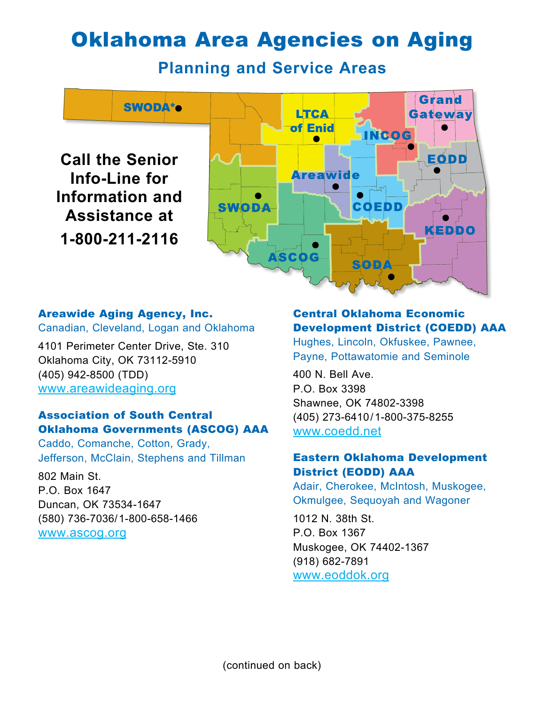# Oklahoma Area Agencies on Aging

**Planning and Service Areas**



# Areawide Aging Agency, Inc.

Canadian, Cleveland, Logan and Oklahoma

4101 Perimeter Center Drive, Ste. 310 Oklahoma City, OK 73112-5910 (405) 942-8500 (TDD) www.areawideaging.org

## Association of South Central Oklahoma Governments (ASCOG) AAA

Caddo, Comanche, Cotton, Grady, Jefferson, McClain, Stephens and Tillman

802 Main St. P.O. Box 1647 Duncan, OK 73534-1647 (580) 736-7036/1-800-658-1466 www.ascog.org

### Central Oklahoma Economic Development District (COEDD) AAA

Hughes, Lincoln, Okfuskee, Pawnee, Payne, Pottawatomie and Seminole

400 N. Bell Ave. P.O. Box 3398 Shawnee, OK 74802-3398 (405) 273-6410/1-800-375-8255 www.coedd.net

## Eastern Oklahoma Development District (EODD) AAA

Adair, Cherokee, McIntosh, Muskogee, Okmulgee, Sequoyah and Wagoner

1012 N. 38th St. P.O. Box 1367 Muskogee, OK 74402-1367 (918) 682-7891 www.eoddok.org